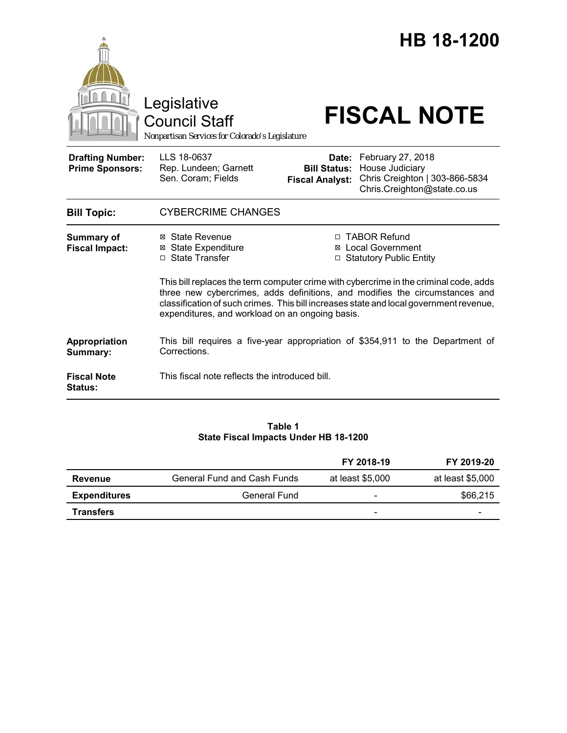

#### **Table 1 State Fiscal Impacts Under HB 18-1200**

|                     |                                    | FY 2018-19                   | FY 2019-20       |
|---------------------|------------------------------------|------------------------------|------------------|
| Revenue             | <b>General Fund and Cash Funds</b> | at least \$5,000             | at least \$5,000 |
| <b>Expenditures</b> | General Fund                       | $\qquad \qquad \blacksquare$ | \$66,215         |
| <b>Transfers</b>    |                                    | $\overline{\phantom{0}}$     | -                |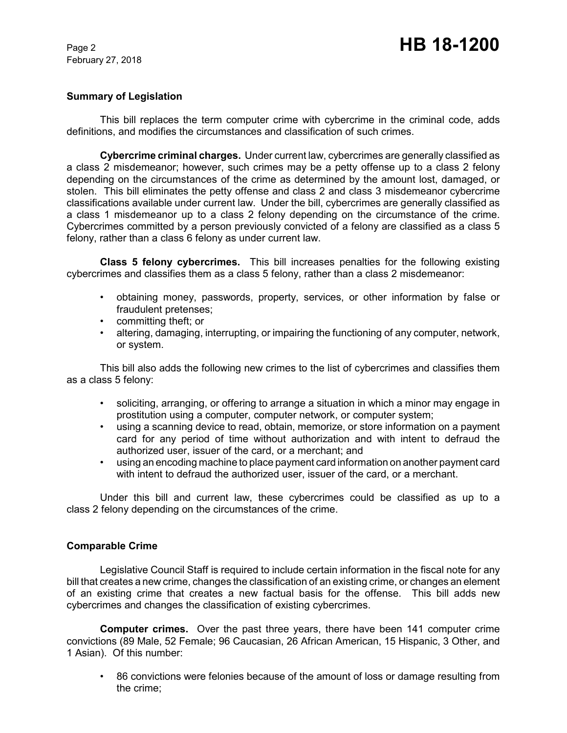# Page 2 **HB 18-1200**

### **Summary of Legislation**

This bill replaces the term computer crime with cybercrime in the criminal code, adds definitions, and modifies the circumstances and classification of such crimes.

**Cybercrime criminal charges.** Under current law, cybercrimes are generally classified as a class 2 misdemeanor; however, such crimes may be a petty offense up to a class 2 felony depending on the circumstances of the crime as determined by the amount lost, damaged, or stolen. This bill eliminates the petty offense and class 2 and class 3 misdemeanor cybercrime classifications available under current law. Under the bill, cybercrimes are generally classified as a class 1 misdemeanor up to a class 2 felony depending on the circumstance of the crime. Cybercrimes committed by a person previously convicted of a felony are classified as a class 5 felony, rather than a class 6 felony as under current law.

**Class 5 felony cybercrimes.** This bill increases penalties for the following existing cybercrimes and classifies them as a class 5 felony, rather than a class 2 misdemeanor:

- obtaining money, passwords, property, services, or other information by false or fraudulent pretenses;
- committing theft; or
- altering, damaging, interrupting, or impairing the functioning of any computer, network, or system.

This bill also adds the following new crimes to the list of cybercrimes and classifies them as a class 5 felony:

- soliciting, arranging, or offering to arrange a situation in which a minor may engage in prostitution using a computer, computer network, or computer system;
- using a scanning device to read, obtain, memorize, or store information on a payment card for any period of time without authorization and with intent to defraud the authorized user, issuer of the card, or a merchant; and
- using an encoding machine to place payment card information on another payment card with intent to defraud the authorized user, issuer of the card, or a merchant.

Under this bill and current law, these cybercrimes could be classified as up to a class 2 felony depending on the circumstances of the crime.

#### **Comparable Crime**

Legislative Council Staff is required to include certain information in the fiscal note for any bill that creates a new crime, changes the classification of an existing crime, or changes an element of an existing crime that creates a new factual basis for the offense. This bill adds new cybercrimes and changes the classification of existing cybercrimes.

**Computer crimes.** Over the past three years, there have been 141 computer crime convictions (89 Male, 52 Female; 96 Caucasian, 26 African American, 15 Hispanic, 3 Other, and 1 Asian). Of this number:

• 86 convictions were felonies because of the amount of loss or damage resulting from the crime;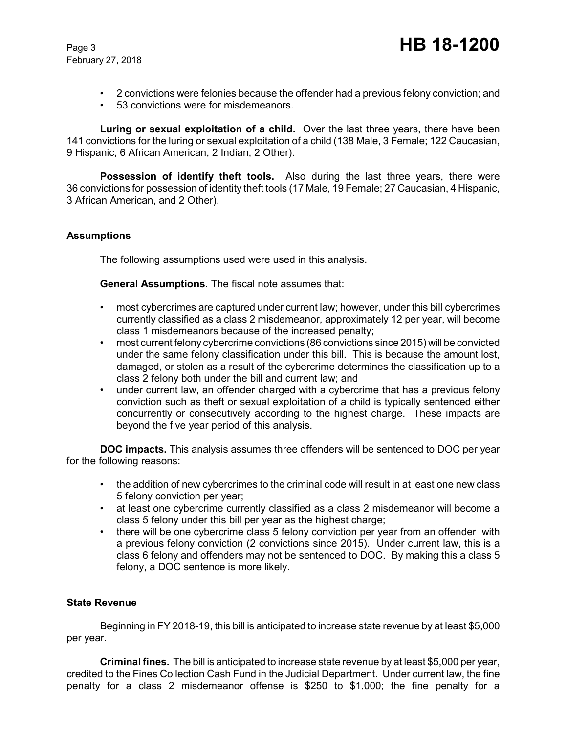- 2 convictions were felonies because the offender had a previous felony conviction; and
- 53 convictions were for misdemeanors.

**Luring or sexual exploitation of a child.** Over the last three years, there have been 141 convictions for the luring or sexual exploitation of a child (138 Male, 3 Female; 122 Caucasian, 9 Hispanic, 6 African American, 2 Indian, 2 Other).

**Possession of identify theft tools.** Also during the last three years, there were 36 convictions for possession of identity theft tools (17 Male, 19 Female; 27 Caucasian, 4 Hispanic, 3 African American, and 2 Other).

## **Assumptions**

The following assumptions used were used in this analysis.

**General Assumptions**. The fiscal note assumes that:

- most cybercrimes are captured under current law; however, under this bill cybercrimes currently classified as a class 2 misdemeanor, approximately 12 per year, will become class 1 misdemeanors because of the increased penalty;
- most current felony cybercrime convictions (86 convictions since 2015) will be convicted under the same felony classification under this bill. This is because the amount lost, damaged, or stolen as a result of the cybercrime determines the classification up to a class 2 felony both under the bill and current law; and
- under current law, an offender charged with a cybercrime that has a previous felony conviction such as theft or sexual exploitation of a child is typically sentenced either concurrently or consecutively according to the highest charge. These impacts are beyond the five year period of this analysis.

**DOC impacts.** This analysis assumes three offenders will be sentenced to DOC per year for the following reasons:

- the addition of new cybercrimes to the criminal code will result in at least one new class 5 felony conviction per year;
- at least one cybercrime currently classified as a class 2 misdemeanor will become a class 5 felony under this bill per year as the highest charge;
- there will be one cybercrime class 5 felony conviction per year from an offender with a previous felony conviction (2 convictions since 2015). Under current law, this is a class 6 felony and offenders may not be sentenced to DOC. By making this a class 5 felony, a DOC sentence is more likely.

## **State Revenue**

Beginning in FY 2018-19, this bill is anticipated to increase state revenue by at least \$5,000 per year.

**Criminal fines.** The bill is anticipated to increase state revenue by at least \$5,000 per year, credited to the Fines Collection Cash Fund in the Judicial Department. Under current law, the fine penalty for a class 2 misdemeanor offense is \$250 to \$1,000; the fine penalty for a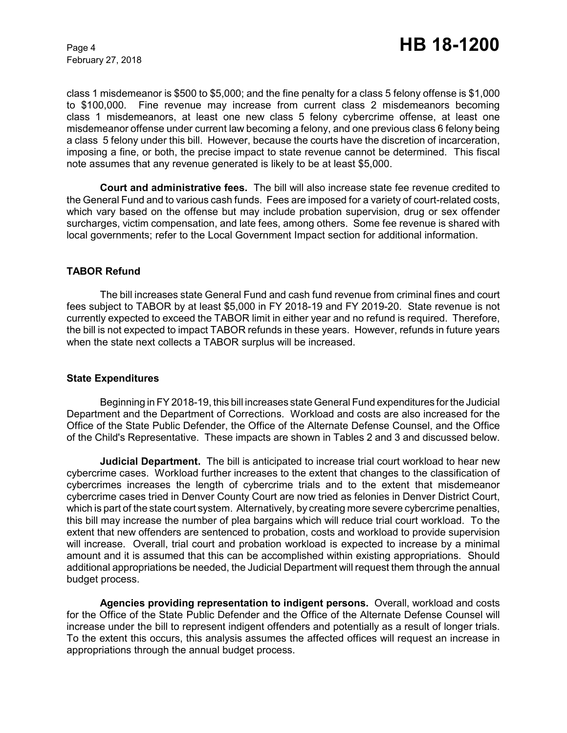class 1 misdemeanor is \$500 to \$5,000; and the fine penalty for a class 5 felony offense is \$1,000 to \$100,000. Fine revenue may increase from current class 2 misdemeanors becoming class 1 misdemeanors, at least one new class 5 felony cybercrime offense, at least one misdemeanor offense under current law becoming a felony, and one previous class 6 felony being a class 5 felony under this bill. However, because the courts have the discretion of incarceration, imposing a fine, or both, the precise impact to state revenue cannot be determined. This fiscal note assumes that any revenue generated is likely to be at least \$5,000.

**Court and administrative fees.** The bill will also increase state fee revenue credited to the General Fund and to various cash funds. Fees are imposed for a variety of court-related costs, which vary based on the offense but may include probation supervision, drug or sex offender surcharges, victim compensation, and late fees, among others. Some fee revenue is shared with local governments; refer to the Local Government Impact section for additional information.

#### **TABOR Refund**

The bill increases state General Fund and cash fund revenue from criminal fines and court fees subject to TABOR by at least \$5,000 in FY 2018-19 and FY 2019-20. State revenue is not currently expected to exceed the TABOR limit in either year and no refund is required. Therefore, the bill is not expected to impact TABOR refunds in these years. However, refunds in future years when the state next collects a TABOR surplus will be increased.

#### **State Expenditures**

Beginning in FY 2018-19, this bill increases state General Fund expenditures for the Judicial Department and the Department of Corrections. Workload and costs are also increased for the Office of the State Public Defender, the Office of the Alternate Defense Counsel, and the Office of the Child's Representative. These impacts are shown in Tables 2 and 3 and discussed below.

**Judicial Department.** The bill is anticipated to increase trial court workload to hear new cybercrime cases. Workload further increases to the extent that changes to the classification of cybercrimes increases the length of cybercrime trials and to the extent that misdemeanor cybercrime cases tried in Denver County Court are now tried as felonies in Denver District Court, which is part of the state court system. Alternatively, by creating more severe cybercrime penalties, this bill may increase the number of plea bargains which will reduce trial court workload. To the extent that new offenders are sentenced to probation, costs and workload to provide supervision will increase. Overall, trial court and probation workload is expected to increase by a minimal amount and it is assumed that this can be accomplished within existing appropriations. Should additional appropriations be needed, the Judicial Department will request them through the annual budget process.

**Agencies providing representation to indigent persons.** Overall, workload and costs for the Office of the State Public Defender and the Office of the Alternate Defense Counsel will increase under the bill to represent indigent offenders and potentially as a result of longer trials. To the extent this occurs, this analysis assumes the affected offices will request an increase in appropriations through the annual budget process.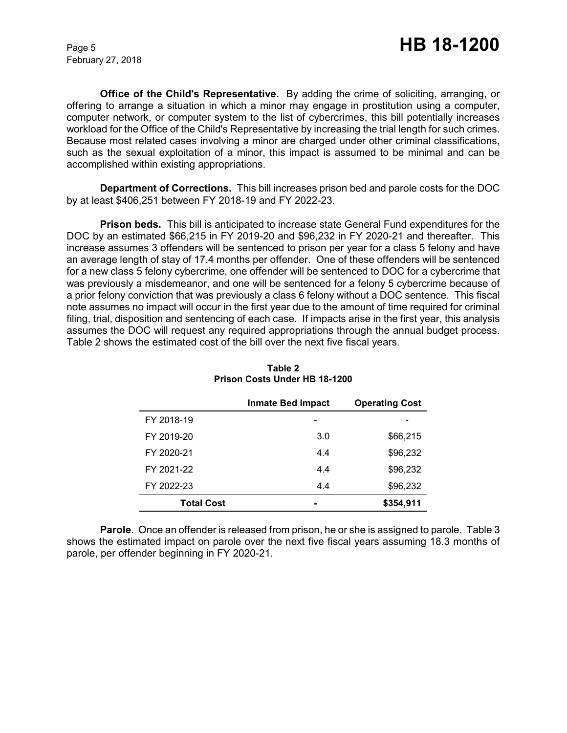**Office of the Child's Representative.** By adding the crime of soliciting, arranging, or offering to arrange a situation in which a minor may engage in prostitution using a computer, computer network, or computer system to the list of cybercrimes, this bill potentially increases workload for the Office of the Child's Representative by increasing the trial length for such crimes. Because most related cases involving a minor are charged under other criminal classifications, such as the sexual exploitation of a minor, this impact is assumed to be minimal and can be accomplished within existing appropriations.

**Department of Corrections.** This bill increases prison bed and parole costs for the DOC by at least \$406,251 between FY 2018-19 and FY 2022-23.

**Prison beds.** This bill is anticipated to increase state General Fund expenditures for the DOC by an estimated \$66,215 in FY 2019-20 and \$96,232 in FY 2020-21 and thereafter. This increase assumes 3 offenders will be sentenced to prison per year for a class 5 felony and have an average length of stay of 17.4 months per offender. One of these offenders will be sentenced for a new class 5 felony cybercrime, one offender will be sentenced to DOC for a cybercrime that was previously a misdemeanor, and one will be sentenced for a felony 5 cybercrime because of a prior felony conviction that was previously a class 6 felony without a DOC sentence. This fiscal note assumes no impact will occur in the first year due to the amount of time required for criminal filing, trial, disposition and sentencing of each case. If impacts arise in the first year, this analysis assumes the DOC will request any required appropriations through the annual budget process. Table 2 shows the estimated cost of the bill over the next five fiscal years.

|                   | <b>Inmate Bed Impact</b> | <b>Operating Cost</b> |
|-------------------|--------------------------|-----------------------|
| FY 2018-19        |                          |                       |
| FY 2019-20        | 3.0                      | \$66,215              |
| FY 2020-21        | 4.4                      | \$96,232              |
| FY 2021-22        | 4.4                      | \$96,232              |
| FY 2022-23        | 4.4                      | \$96,232              |
| <b>Total Cost</b> |                          | \$354,911             |

**Table 2 Prison Costs Under HB 18-1200**

**Parole.**Once an offender is released from prison, he or she is assigned to parole. Table 3 shows the estimated impact on parole over the next five fiscal years assuming 18.3 months of parole, per offender beginning in FY 2020-21.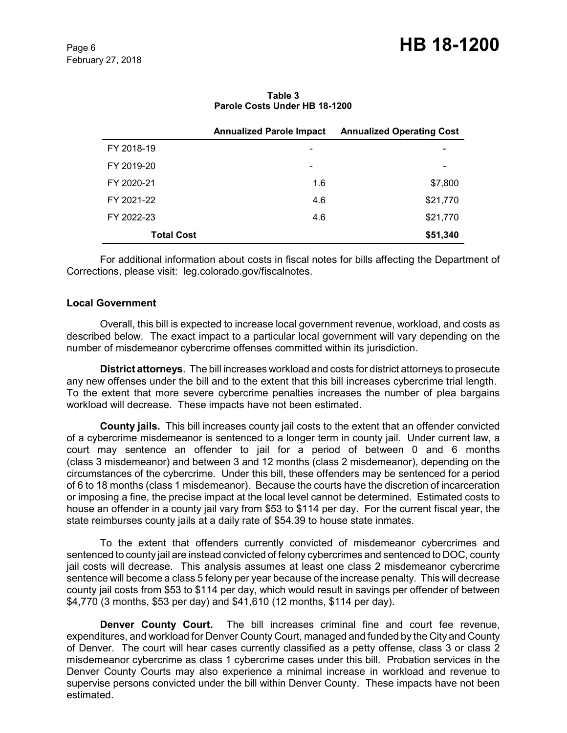|                   | <b>Annualized Parole Impact</b> | <b>Annualized Operating Cost</b> |
|-------------------|---------------------------------|----------------------------------|
| FY 2018-19        | $\overline{\phantom{0}}$        |                                  |
| FY 2019-20        | -                               | $\overline{\phantom{0}}$         |
| FY 2020-21        | 1.6                             | \$7,800                          |
| FY 2021-22        | 4.6                             | \$21,770                         |
| FY 2022-23        | 4.6                             | \$21,770                         |
| <b>Total Cost</b> |                                 | \$51,340                         |

**Table 3 Parole Costs Under HB 18-1200**

For additional information about costs in fiscal notes for bills affecting the Department of Corrections, please visit: leg.colorado.gov/fiscalnotes.

#### **Local Government**

Overall, this bill is expected to increase local government revenue, workload, and costs as described below. The exact impact to a particular local government will vary depending on the number of misdemeanor cybercrime offenses committed within its jurisdiction.

**District attorneys**. The bill increases workload and costs for district attorneys to prosecute any new offenses under the bill and to the extent that this bill increases cybercrime trial length. To the extent that more severe cybercrime penalties increases the number of plea bargains workload will decrease. These impacts have not been estimated.

**County jails.** This bill increases county jail costs to the extent that an offender convicted of a cybercrime misdemeanor is sentenced to a longer term in county jail. Under current law, a court may sentence an offender to jail for a period of between 0 and 6 months (class 3 misdemeanor) and between 3 and 12 months (class 2 misdemeanor), depending on the circumstances of the cybercrime. Under this bill, these offenders may be sentenced for a period of 6 to 18 months (class 1 misdemeanor). Because the courts have the discretion of incarceration or imposing a fine, the precise impact at the local level cannot be determined. Estimated costs to house an offender in a county jail vary from \$53 to \$114 per day. For the current fiscal year, the state reimburses county jails at a daily rate of \$54.39 to house state inmates.

To the extent that offenders currently convicted of misdemeanor cybercrimes and sentenced to county jail are instead convicted of felony cybercrimes and sentenced to DOC, county jail costs will decrease. This analysis assumes at least one class 2 misdemeanor cybercrime sentence will become a class 5 felony per year because of the increase penalty. This will decrease county jail costs from \$53 to \$114 per day, which would result in savings per offender of between \$4,770 (3 months, \$53 per day) and \$41,610 (12 months, \$114 per day).

**Denver County Court.** The bill increases criminal fine and court fee revenue, expenditures, and workload for Denver County Court, managed and funded by the City and County of Denver. The court will hear cases currently classified as a petty offense, class 3 or class 2 misdemeanor cybercrime as class 1 cybercrime cases under this bill. Probation services in the Denver County Courts may also experience a minimal increase in workload and revenue to supervise persons convicted under the bill within Denver County. These impacts have not been estimated.